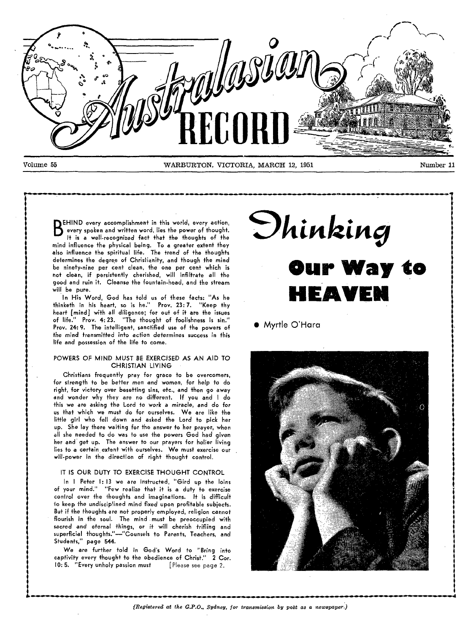

**BEHIND** every accomplishment in this world, every action,<br>every spoken and written word, lies the power of thought.<br>It is a well-recognized fact that the thoughts of the every spoken and written word, lies the power of though+. It is a well-recognized fact that the thoughts of the mind influence the physical being. To a greater extent they also influence the spiritual life. The trend of the thoughts determines the degree of Christianity, and though the mind be ninety-nine per cent clean, the one per cent which is not clean, if persistently cherished, will infiltrate all the good and ruin it. Cleanse the fountain-head, and the stream will be pure.

In His Word, God has told us of these facts: "As he thinketh in his heart, so is he." Prov. 23: 7. "Keep thy heart [mind] with all diligence; for out of it are the issues<br>of life." Prov. 4:23. "The thought of foolishness is sin." Prov. **4:23.** "The thought of foolishness is sin." Prov. 24: 9. The intelligent, sanctified use of the powers of the mind transmitted into action determines success in this life and possession of the life to come.

### POWERS OF MIND MUST BE EXERCISED AS AN AID TO CHRISTIAN LIVING

Christians frequently pray for grace to be overcomers, for strength to be better men and women, for help to do right, for victory over besetting sins, etc., and then go away and wonder why they are no different. If you and I do this we are asking the Lord to work a miracle, and do for us +hat which we must do for ourselves. We are like the little girl who fell down and asked the Lord to pick her up. She lay there waiting for the answer to her prayer, when all she needed to do was to use the powers God had given her and get up. The answer to our prayers for holier living lies to a certain extent with ourselves. We must exercise our will-power in the direction of right thought control.

### IT IS OUR DUTY TO EXERCISE THOUGHT CONTROL

In I Peter 1: 13 we are instructed, "Gird up the loins of your mind." "Few realize that it is a duty to exercise control over the thoughts and imaginations. I+ is difficult to keep the undisciplined mind fixed upon profitable subjects. But if the thoughts are not properly employed, religion cannot flourish in the soul. The mind must be preoccupied with sacred and eternal things, **or if** will cherish trifling and superficial thoughts."—"Counsels to Parents, Teachers, and Students," page **544.** 

**We** are further fold in God's Word to "Bring info captivity every thought to the obedience of Christ." 2 Cor. 10:5. "Every unholy passion must [Please see page 2.

*Shinking* **Our Way to HEAVEN** 

### • Myrtle O'Hara

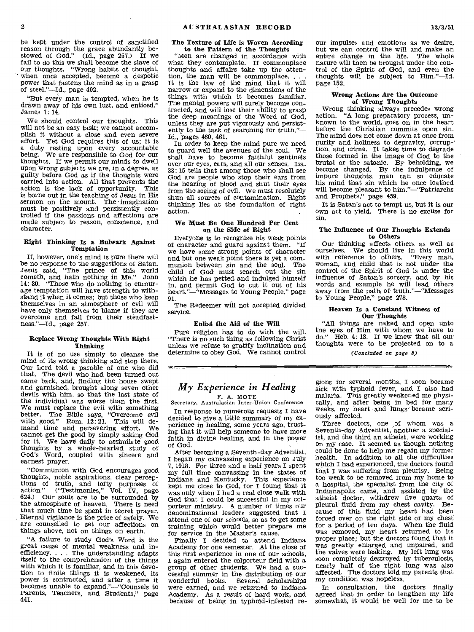be kept under the control of sanctified reason through the grace abundantly be-stowed of God." (Id., page 257.) If we fail to do this we shall become the slave of our thoughts. "Wrong habits of thought, when once accepted, become a despotic power that fastens the mind as in a grasp of steel."—Id., page 402.

"But every man is tempted, when he is drawn away of his own lust, and enticed." James 1: 14.

We should control our thoughts. This will not be an easy task; we cannot accomplish it without a close and even severe effort. Yet God requires this of us; it is a duty resting upon every accountable being. We are responsible to God for our thoughts. If we permit our minds to dwell upon wrong subjects we are, in a degree, as guilty before God as if the thoughts were carried into action. All that prevents the action is the lack of opportunity. This is borne out in the teaching of Jesus in His sermon on the mount. The imagination must be positively and persistently controlled if the passions and affections are made subject to reason, conscience, and character.

#### **Right Thinking Is a Bulwark Against Temptation**

If, however, one's mind is pure there will be no response to the suggestions of Satan. Jesus said, "The prince of this world cometh, and hath nothing in Me." John 14: 30. "Those who do nothing to encourage temptation will have strength to withstand it when it comes; but those who keep themselves in an atmosphere of evil will have only themselves to blame if they are overcome and fall from their steadfastness."—Id., page 257.

### **Replace Wrong Thoughts With Right Thinking**

It is of no use simply to cleanse the mind of its wrong thinking and stop there. Our Lord told a parable of one who did that. The devil who had been turned out came back, and, finding the house swept and garnished, brought along seven other devils with him, so that the last state of the individual was worse than the first. We must replace the evil with something better. The Bible says, "Overcome evil with good." Rom. 12:21. This will demand time and persevering effort. We cannot get the good by simply asking God for it. We have daily to assimilate good thoughts by a whole-hearted study of God's Word, coupled with sincere and earnest prayer.

"Communion with God encourages good thoughts, noble aspirations, clear perceptions of truth, and lofty purposes of action." ("Testimonies," Vol. IV, page 624.) Our souls are to be surrounded by the atmosphere of heaven. There is need that much time be spent in secret prayer. Eternal vigilance is the price of safety. We are counselled to set our affections on things above, not on things on earth.

"A failure to study God's Word is the great cause of mental weakness and inefficiency. . . . The understanding adapts itself to the comprehension of the things with which it is familiar, and in this devotion to finite things it is weakened, its power is contracted, and after a time it becomes unable to expand."—"Counsels to Parents, Teachers, and Students," page **441.** 

### **The Texture of Life is Woven According to the Pattern of the Thoughts**

"Men are changed in accordance with what they contemplate. If commonplace thoughts and affairs take up the attention, the man will be commonplace. . It is the law of the mind that it will narrow or expand to the dimensions of the things with which it becomes familiar. The mental powers will surely become contracted, and will lose their ability to grasp the deep meanings of the Word of God, unless they are put vigorously and persistently to the task of searching for truth."— Id., pages 460, 461.

In order to keep the mind pure we need to guard well the avenues of the soul. We shall have to become faithful sentinels over our eyes, ears, and all our senses. Isa. 33: 15 tells that among those who shall see God are people who stop their ears from the hearing of blood and shut their eyes from the seeing of evil. We must resolutely shun all sources of contamination. Right thinking lies at the foundation of right action.

#### **We Must Be One Hundred Per Cent on the Side of Right**

Everyone is to recognize his weak points of character and guard against them. "If we have some strong points of character and but one weak point there is yet a communion between sin and the soul. The child of God must search out the sin which he has petted and indulged himself in, and permit God to cut it out of his heart."—"Messages to Young People," page 91.

The Redeemer will not accepted divided service.

#### **Enlist the Aid of the Will**

Pure religion has to do with the will. "There is no such thing as following Christ unless we refuse to gratify inclination and determine to obey God. We cannot control

## *My Experience in Healing*

vat,

F. A. MOTE Secretary, Australasian Inter-Union Conference

In response to numerous requests I have decided to give a little summary of my experience in healing, some years ago, trusting that it will help someone to have more faith in divine healing, and in the power of God.

After becoming a Seventh-day Adventist, I began my canvassing experience on July 7, 1918. For three and a half years I spent my full time canvassing in the states of Indiana and Kentucky. This experience kept me close to God, for I found that it was only when I had a real close walk with God that I could be successful in my colporteur ministry. A number of times our denominational leaders suggested that I attend one of our schools, so as to get some training which would better prepare me for service in the Master's cause.

Finally I decided to attend Indiana Academy for one semester. At the close of this first experience in one of our schools, I again entered the colporteur field with a group of other students. We had a successful summer in the distribution of our wonderful books. Several scholarships were earned, and we returned to Indiana Academy. As a result of hard work, and because of being in typhoid-infested re-

our impulses and emotions as we desire, but we can control the will and make an entire change in the life. The whole entire change in the life. nature will then be brought under the control of the Spirit of God, and even the thoughts will be subject to Him."—Id. page **152.** 

### **Wrong Actions Are the Outcome of Wrong Thoughts**

Wrong thinking always precedes wrong<br>action. "A long preparatory process, un-"A long preparatory process, unknown to the world, goes on in the heart before the Christian commits open sin. The mind does not come down at once from purity and holiness to depravity, corrup-' tion, and crime. It takes time to degrade those formed in the image of God to the brutal or the satanic.  $\overline{B}y$  beholding, we become changed. By the indulgence of impure thoughts, man can so educate his mind that sin which he once loathed will become pleasant to him."—"Patriarchs and Prophets," page 459.

It is Satan's act to tempt us, but it is our own act to yield. There is no excuse for sin.

### **The Influence of Our Thoughts Extends to Others**

Our thinking affects others as well as ourselves. We should live in this world<br>with reference to others. "Every man, with reference to others. woman, and child that is not under the control of the Spirit of God is under the influence of Satan's sorcery, and by his words and example he will lead others away from the path of truth."—"Messages to Young People," page 278.

### Heaven Is **a Constant Witness of Our Thoughts**

"All things are naked and open unto the eyes of Him with wham we have to do." Heb. 4: 13. If we knew that all our thoughts were to be projected on to a

*(Concluded on page 8)* 

gions for several months, I soon became sick with typhoid fever, and I also had malaria. This greatly weakened me physically, and after being in bed for many weeks, my heart and lungs became seriously affected.

Three doctors, one of whom was a Seventh-day Adventist, another a specialist, and the third an atheist, were working on my case. It seemed as though nothing could be done to help me regain my former health. In addition to all the difficulties which I had experienced, the doctors found that I was suffering from pleurisy. Being too weak to be removed from my home to a hospital, the specialist from the city of Indianapolis came, and assisted by the atheist doctor, withdrew five quarts of pleural fluid from my chest cavity. Because of this fluid my heart had been forced over on the right side of my chest for a period of ten days. When the fluid was removed, my heart returned to its proper place; but the doctors found that it was greatly enlarged and impaired, and the valves were leaking. My left lung was soon completely destroyed by tuberculosis, nearly half of the right lung was also affected. The doctors told my parents that my condition was hopeless.

In consultation, the doctors finally agreed that in order to lengthen my life somewhat, it would be well for me to be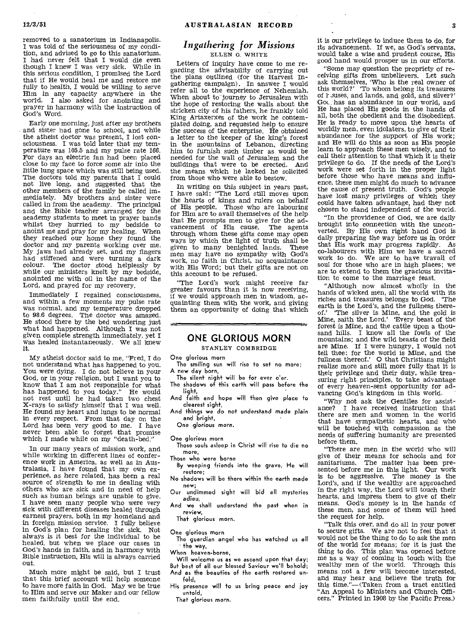removed to a sanatorium in Indianapolis. I was told of the seriousness of my condition, and advised to go to this sanatorium. I had never felt that I would die even though I knew I was very sick. While in this serious condition, I promised the Lord that if He would heal me and restore me fully to health, I would be willing to *serve*  Him in any capacity anywhere in the world. I also asked for anointing and prayer in harmony with the instruction of God's Word.

Early one morning, just after my brothers and sister had gone to school, and while the atheist doctor was present, I lost consciousness. I was told later that my temperature was 105.5 and my pulse rate 166. For days an, electric fan had been placed close to my face to force some air into the little lung space which was still being used. The doctors told my parents that I could not live long, and suggested that the other members of the family be called immediately. My brothers and sister were called in from the academy. The principal and the Bible teacher arranged for the academy students to meet in prayer bands whilst they hurried to my bedside to anoint me and pray for my healing. When they reached our home they found the doctor and my parents working over me. My jaws had already set, and my fingers had stiffened and were turning a dark colour. The doctor stood helplessly by while our ministers knelt by my bedside, anointed me with oil in the name of the Lord, and prayed for my recovery.

Immediately I regained consciousness, and within a few moments my pulse rate was normal, and my temperature dropped to 98.6 degrees. The doctor was amazed. He stood there by the bed wondering just what had happened. Although I was not given complete strength immediately, yet I was healed instantaneously. We all knew it.

My atheist doctor said to me, "Fred, I do not understand what has happened to you. You were dying. I do not believe in your God, or in your religion, but I want you to know that I am not responsible for what has happened to you today." He would not rest until he had taken two chest X-rays to satisfy himself that I was well. He found *my* heart and lungs to be normal in every respect. From that day on the Lord has been very good to me. I have never been able to forget that promise which I made while on my "death-bed."

In our many years of mission work, and while working in different lines of conference work in America, as well as in Australasia, I have found that my own experience, as here related, has been a real source of strength to me in dealing with others who are sick and in need of help such as human beings are unable to give. I have seen many people who were very sick with different diseases healed through earnest prayers, both in my homeland and in foreign mission service. I fully believe in God's plan for healing the sick. Not always is it best for the individual to be healed, but when we place our cases in God's hands in faith, and in harmony with Bible instruction, His will is always carried out.

Much more might be said, but I trust that this brief account will help someone to have more faith in God. May we be true to Him and serve our Maker and our fellow men faithfully until the end.

### *Ingathering for Missions*  ELLEN G. WHITE

Letters of inquiry have come to me regarding the advisability of carrying out the plans outlined (for the Harvest Ingathering campaign). In answer I would refer all to the experience of Nehemiah. When about to journey to Jerusalem with the hope of restoring the walls about the stricken city of his fathers, he frankly told King Artaxerxes of the work he contemplated doing, and requested help to ensure the success of the enterprise. He obtained a letter to the keeper of the king's forest in the mountains of Lebanon, directing him to furnish such timber as would be needed for the wall of Jerusalem and the buildings that were to be erected. And the means which he lacked he solicited from those who were able to bestow.

In writing on this subject in years past, I have said: "The Lord still moves upon the hearts of kings and rulers on behalf of His people. Those who are labouring for Him are to avail themselves of the help that He prompts men to give for the ad-vancement of His cause. The agents through whom these gifts come may open ways by which the light of truth shall be given to many benighted lands. These men may have no sympathy with God's work, no faith in Christ, no acquaintance with His Word; but their gifts are not on this account to be refused.

"The Lord's work might receive far greater favours than it is now receiving, if we would approach men in wisdom, acquainting them with the work, and giving them an opportunity of doing that which

### **ONE GLORIOUS MORN**

STANLEY COMBRIDGE

One glorious morn

- The smiling sun will rise to set no more; A new day born,
	- The silent night will be for ever o'er.
- The shadows of this earth will pass before the light,
- And faith and hope will then give place to clearest sight,
- And things we do not understand made plain and bright,

One glorious morn.

One glorious morn

Those souls asleep in Christ will rise to die no more,

Those who were borne

By weeping friends into the grave, He will resiore;

No shadows will be there within +he earth made new;

Our undimmed sight will bid all mysteries adieu,

And we shall understand the past when in review,

That glorious morn.

One glorious morn

The guardian angel who has watched us all +he way,

When heaven-borne,

Will welcome us as we ascend upon that day; But best of all our blessed Saviour we'll behold; And as the beauties of the earth restored unfold,

His presence will to us bring peace and joy untold,

That glorious morn.

it is our privilege to induce them to do, for its advancement. If we, as God's servants, would take a wise and prudent course, His good hand 'would prosper us in our efforts.

"Some may question the propriety of receiving gifts from unbelievers. Let such ask themselves, 'Who is the real owner of this world?' To whom belong its treasures of 1-Juses, and lands, and gold, and silver?' Got has an abundance in our world, and He has placed His goods in the hands of all, both the obedient and the disobedient. He is ready to move upon the hearts of worldly men, even idolaters, to give of their abundance for the support of His work; and He will do this as soon as His people learn to approach these men wisely, and to call their attention to that which it is their privilege to do. If the needs of the Lord's work were set forth in the proper light before those who have means and influence, these men might do much to advance the cause of present truth. God's people have lost many privileges of which they could have taken advantage, had they not chosen to stand independent of the world.

"In the providence of God, we are daily brought into connection with the unconverted. By His own right hand God is daily preparing the way before us in order that His work may progress rapidly. As co-labourers with Him we have a sacred work to do. We are to have travail of soul for those who are in high places; we are to extend to them the gracious invitation to come to the marriage feast.

"Although now almost wholly in the hands of wicked men, all the world with its riches and treasures belongs to God. 'The earth is the Lord's, and the fullness there-<br>of.' "The silver is Mine, and the gold is The silver is Mine, and the gold is Mine, saith the Lord.' Every beast of the forest is Mine, and the cattle upon a thousand hills. I know all the fowls of the mountains; and the wild beasts of the field are Mine. If I were hungry, I would not tell thee: for the world is Mine, and the fullness thereof.' 0 that Christians might realize more and still more fully that it is their privilege and their duty, while treasuring right principles, to take advantage of every heaven-sent opportunity for advancing God's kingdom in this world.

"Why not ask the Gentiles for assistance? I have received instruction that there are men and women in the world that have sympathetic hearts, and who will be touched with compassion as the needs of suffering humanity are presented before them.

"There are men in the world who will give of their means for schools and for sanitariums. The matter has been presented before me in this light. Our work is to be aggressive. The money is the Lord's, and if the wealthy are approached in the right way, the Lord will touch their hearts, and impress them to give of their means. God's money is in the hands of these men, and some of them will heed the request for help.

"Talk this over, and do all *in* your power to secure gifts. We are not to feel that it would not be the thing to do to ask the men of the world for means; for it is just the thing to do. This plan was opened before me as a way of coming in touch with the wealthy men of the world. Through this means not a few will become interested, and may hear and believe the truth for this time."—(Taken from a tract entitled "An Appeal to Ministers and Church Officers." Printed in 1908 by the Pacific Press.)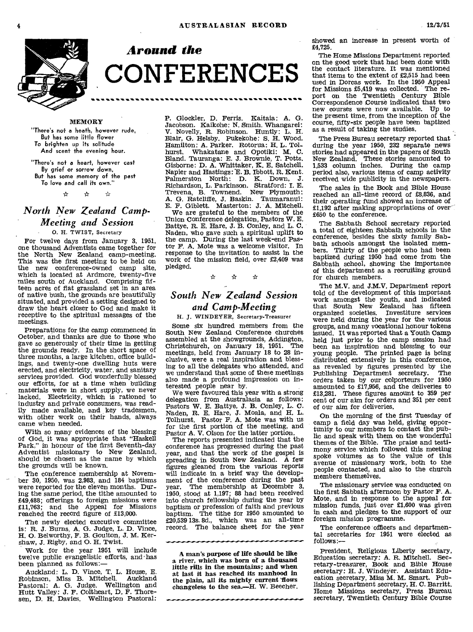

*Around the*  **CONFERENCES** 

### MEMORY

"There's not a heath, however rude, But has some little flower To brighten up its solitude And scent the evening hour.

"There's not a heart, however cast By grief or sorrow down, But has some memory of the past<br>To love and call its own."<br>  $\angle x$   $\angle x$   $\angle x$ To love and call its own."

### *North New Zealand Camp-Meeting and Session*

0. H. TWIST, Secretary

For twelve days from January 3, 1951, one thousand Adventists came together for the North New Zealand camp-meeting. This was the first meeting to be held on the new conference-owned camp site, which is located at Ardmore, twenty-five miles south of Auckland. Comprising fifteen acres of flat grassland set in an area of native bush, the grounds are beautifully situated, and provided a setting designed to draw the heart closer to God and make it receptive to the spiritual messages of the meetings.

Preparations for the camp commenced in October, and thanks are due to those who gave so generously of their time in getting the grounds ready. In the short space of three months, a large kitchen, office buildings, and twenty-one dwelling huts were erected, and electricity, water, and sanitary services provided. God wonderfully blessed our efforts, for at a time when building materials were in short supply, we never lacked. Electricity, which is rationed to industry and private consumers, was readily made available, and key tradesmen, with other work on their hands, always came when needed.

With so many evidences of the blessing of God, it was appropriate that "Haskell Park," in honour of the first Seventh-day Adventist missionary to New Zealand, should be chosen as the name by which the grounds will be known.

The conference membership at November 30, 1950, was 2,983, and 184 baptisms were reported for the eleven months. During the same period, the tithe amounted to £49,488; offerings to foreign missions were £11,763; and the Appeal for Missions reached the record figure of £13,000.

The newly elected executive committee is: R. J. Burns, A. G. Judge, L. D. Vince, H. 0. Belworthy, F. B. Goulton, J. M. Kershaw, J. Rigby, and 0. H. Twist.

Work for the year 1951 will include twelve public evangelistic efforts, and 'has been planned as follows:—

Auckland: L. D. Vince, T. L. House, E. Robinson, Miss B. Mitchell. Auckland Pastoral: A. G. Judge. Wellington and Hutt Valley: J. F. Coltheart, D. F. Thoresen, D. H. Davies. Wellington Pastoral:

P. Glockler, D. Ferris. Kaitaia: A. G. Jacobson. Kaikohe: N. Smith. Whangarei: V. Novelly, R. Robinson. Huntly: L. H. Blair, G. Heisby. Pukekohe: S. H. Wood. Hamilton: A. Parker. Rotorua: H. L. Tolhurst. Whakatane and Opotiki: M. C. Bland. Tauranga: E. J. Brownie, T. Potts. Gisborne: D. A. Whittaker, K. E. Satchell. Napier and Hastings: E. B. Ibbott, R. Kent. Palmerston North: D. K. Down, J. Richardson, L. Parkinson. Stratford: I. E. Trevena, B. Townend. New Plymouth: A. G. Ratcliffe, J. Baskin. Taumaranui: E. F. Giblett. Masterton: J. A. Mitchell. We are grateful to the members of the Union Conference delegation, Pastors W. E. Battye, R. E. Hare, J. B. Conley, and L. C. Naden, who gave such a spiritual uplift to the camp. During the last week-end Pastor F. A. Mote was a welcome visitor. In response to the invitation to assist in the work of the mission field, over £2,409 was pledged.<br>  $\angle$   $\angle$   $\angle$ pledged.

## *South New Zealand Session and Camp-Meeting*

H. J. WINDEYER, Secretary-Treasurer

Some six hundred members from the South New Zealand Conference churches assembled at the showgrounds, Addington, Christchurch, on January 18, 1951. The meetings, held from January 18 to 28 inclusive, were a real inspiration and blessing to all the delegates who attended, and we understand that some of these meetings also made a profound impression on interested people near by.

We were favoured this year with a strong delegation from Australasia as follows: Pastors W. E. Battye, J. B. Conley, L. C. Naden, R. E. Hare, J. Moala, and H. L. Tolhurst. Pastor F. A. Mote was with us for the first portion of the meeting, and Pastor A. V. Olson for the latter portion.

The reports presented indicated that the conference has progressed during the past year, and that the work of the gospel is spreading in South New Zealand. A few figures gleaned from the various reports will indicate in a brief way the develop-ment of the conference during the past year. The membership at December 3, 1950, stood at 1,197; 88 had been received into church fellowship during the year by baptism or profession of faith and previous baptism. The tithe for 1950 amounted to £20,539 13s. 8d., which was an all-time record. The balance sheet for the year

A man's purpose of life should be like a river, which was born of a thousand little rills in the mountains; and when at last it has reached its manhood in the plain, all its mighty current 'flows changeless to the sea.—H. W. Beecher. showed an increase in present worth of £4,725.

The Home Missions Department reported on the good work that had been done with the contact literature. It was mentioned that items to the extent of £2,515 had been used in Dorcas work. In the 1950 Appeal for Missions £5,419 was collected. The re-port on the Twentieth Century Bible Correspondence Course indicated that two new courses were now available. Up to the present time, from the inception of the course, fifty-six people have been baptized as a result of taking the studies.

The Press Bureau secretary reported that during the year 1950, 232 separate news stories had appeared in the papers of South New Zealand. These stories amounted to 1,533 column inches. During the camp period also, various items of camp activity received wide publicity in the newspapers.

The sales in the Book and Bible House reached an all-time record of £8,836, and their operating fund showed an increase of £1,192 after making appropriations of over £650 to the conference.

The Sabbath School secretary reported a total of eighteen Sabbath schools in the conference, besides the sixty family Sabbath schools amongst the isolated members. Thirty of the people who had been baptized during 1950 had come from the Sabbath school, showing the importance of this department as a recruiting ground for church members.

The M.V. and J.M.V. Department report told of the development of this important work amongst the youth, and indicated that South New Zealand has fifteen organized societies. Investiture services were held during the year for the various groups, and many vocational honour tokens issued. It was reported that a Youth Camp held just prior to the camp session had been an inspiration and blessing to our young people. The printed page is being distributed extensively in this conference, as revealed by figures presented by the Publishing Department secretary. The Publishing Department secretary. orders taken by our colporteurs for 1950 amounted to £17,956, and the deliveries to £13,281. These figures amount to 359 per cent of our aim for orders and 351 per cent of our aim for deliveries.

On the morning of the first Tuesday of camp a field day was held, giving opportunity to our members to contact the public and speak with them on the wonderful themes of the Bible. The praise and testimony service which followed this meeting spoke volumes as to the value of this avenue of missionary work, both to the people contacted, and also to the church members themselves.

The missionary service was conducted on the first Sabbath afternoon by Pastor F. A. Mote, and in response to the appeal for mission funds, just over £1,600 was given in cash and pledges to the support of our foreign mission programme.

The conference officers and departmental secretaries for 1951 were elected as follows:—

President, Religious Liberty secretary, Education secretary: A. R. Mitchell. Secretary-treasurer, Book and Bible House secretary: H. J. Windeyer. Assistant Education secretary, Miss M. M. Smart. Pub-lishing Department secretary, H. C. Barritt. Home Missions secretary, Press Bureau secretary, Twentieth Century Bible Course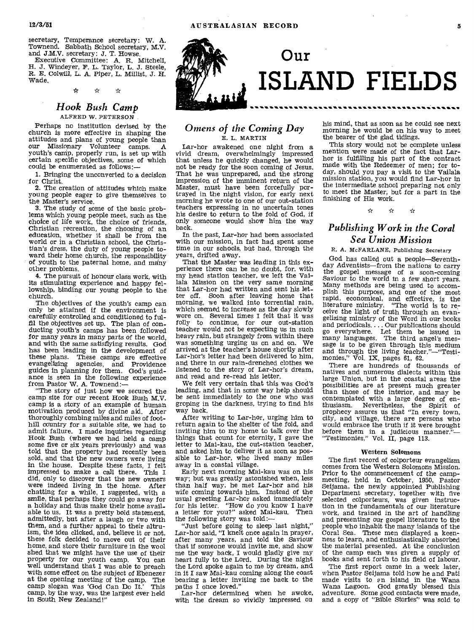secretary, Temperance secretary: W. A. Townend. Sabbath School secretary, M.V. and J.M.V. secretary: J. T. Howse.

Executive Committee: A. R. Mitchell, H. J. Windeyer, F. L. Taylor, L. J. Steele, R. E. Colwill, L. A. Piper, L. MiHist, J. H. Wade.

> $\mathbf{r}$  $\leftrightarrow$  $\boldsymbol{\vec{x}}$

### *Hook Bush Camp*  ALFRED W. PETERSON

Perhaps no institution devised by the church is more effective in shaping the attitudes and plans of young people than our Missionary Volunteer camps. A youth's camp, properly run, is set up with certain specific objectives, some of which could be enumerated as follows:-

1. Bringing the unconverted to a decision for Christ.

2. The creation of attitudes which make young people eager to give themselves to the Master's service.

3. The study of some of the basic problems which young people meet, such as the choice of life work, the choice of friends, Christian recreation, the choosing of an education, whether it shall be from the world or in a Christian school, the Christian's dress, the duty of young people toward their home church, the responsibility of youth to the paternal home, and many other problems.

4. The pursuit of honour class work, with its stimulating experience and happy fellowship, binding our young people to the church.

The objectives of the youth's camp can only be attained if the environment is carefully controlled and conditioned to fulfil the objectives set up. The plan of conducting youth's camps has been followed for many years in many parts of the world, and with the same satisfiying results. God has been leading in the development of these plans. These camps are effective evangelizing agencies, and Providence guides in planning for them. God's guidance is seen in the following experience

from Pastor W. A. Townend:— "The story of just how we secured the camp site for our recent Hook Bush M.V. camp is a story of an example of human motivation produced by divine aid. After thoroughly combing miles and miles of foothill country for a suitable site, we had to admit failure. I made inquiries regarding Hook Bush (where we had held a camp some five or six years previously) and was told that the property had recently been sold, and that the new owners were living in the house. Despite these facts, I felt impressed to make a call there. This I did, only to discover that the new owners were indeed living in the home. After chatting for a while, I suggested, with a smile, that perhaps they could go away for a holiday and thus make their home available to us. It was a pretty bold statement, admittedly, but after a laugh or two with them, and a further appeal to their altruism, the idea clicked, and, believe it or not, these folk decided to move out of their home, and store their furniture in the wool shed that we might have the use of their property for our youth camp. You can well understand that I was able to preach with some effect on the subject of Ebenezer at the opening meeting of the camp. The camp slogan was 'God Can Do It.' This camp slogan was 'God Can Do It.' camp, by the way, was the largest ever held in South New Zealand!"



### *Omens of the Coming Day*  E. L. MARTIN

Lar-hor awakened one night from a vivid dream, overwhelmingly impressed that unless he quickly changed, he would not be ready for the soon coming of Jesus. That he was unprepared, and the strong impression of the imminent return of the Master, must have been forcefully portrayed in the night vision, for early next morning he wrote to one of our out-station teachers expressing in no uncertain tones his desire to return to the fold of God, if only someone would show him the way back.

In the past, Lar-hor had been associated with our mission, in fact had spent some time in our schools, but had, through the years, drifted away.

That the Master was leading in this experience there can be no doubt, for, with my head station teacher, we left the Vailala Mission on the very same morning that Lar-hor had written and sent his letter off. Soon after leaving home that morning, we walked into torrential rain, which seemed to increase as the day slowly wore on. Several times I felt that it was folly to continue, for our out-station teacher would not be expecting us in such heavy rain, but strangely from within there was something urging us on and on. We arrived at the teacher's house shortly after Lar-hor's letter had been delivered to him, and there in our rain-drenched clothes we listened to the story of Lar-hor's dream, and read and re-read his letter.

We felt very certain that this was God's leading, and that in some way help should be sent immediately to the one who was groping in the darkness, trying to find his way back.

After writing to Lar-hor, urging him to return again to the shelter of the fold, and inviting him to my home to talk over the things that count for eternity, I gave the letter to Mai-kau, the out-station teacher, and asked him to deliver it as soon as possible to Lar-hor, who lived many miles away in a coastal village.

Early next morning Mai-kau was on his way; but was greatly astonished when, less than half way, he met Lar-hor and his wife coming towards him. Instead of the usual greeting Lar-hor asked immediately for his letter. "How do you know I have a letter for you?" asked Mai-kau. Then the following story was told:—

"Just before going to sleep last night," Lar-hor said, "I knelt once again in prayer, after many years, and told the Saviour that if someone would invite me, and show me the way back, I would gladly give my<br>heart fully to the Lord. During the night the Lord spoke again to me by dream, and in it I saw Mai-kau coming along the coast bearing a letter inviting me back to the paths I once loved."

Lar-hor determined when he awoke, with the dream so vividly impressed on his mind, that as soon as he could see next morning he would be on his way to meet the bearer of the glad tidings.

This story would not be complete unless mention were made of the fact that Larhor is fulfilling his part of the contract made with the Redeemer of men; for today, should you pay a visit to the Vailala mission station, you would find Lar-hor in the intermediate school preparing not only to meet the Master, but for a part in the finishing of His work.

### *Publishing Work in the Coral Sea Union Mission*

### R. A. McFARLANE, Publishing Secretary

God has called out a people—Seventhday Adventists—from the nations to carry the gospel message of a soon-coming Saviour to the world in a few short years. Many methods are being used to accomplish this purpose, and one of the most rapid, economical, and effective, is the literature ministry. "The world is to receive the light of truth through an evangelizing ministry of the Word in our books and periodicals.... Our publications should go everywhere. Let them be issued in many languages. The third angel's message is to be given through this medium and through the living teacher."—"Testi-monies," Vol. IX, pages 61, 62.

There are hundreds of thousands of natives and numerous dialects within this large Union, but in the coastal areas the possibilities are at present much greater than those of the interior, and may be contemplated with a large degree of enthusiasm. Nevertheless, the Spirit of prophecy assures us that "In every town, city, and village, there are persons who would embrace the truth if it were brought before them in a judicious manner."—<br>"Testimonies," Vol. II, page 113.

#### Western Solomons

The first record of colporteur evangelism comes from the Western Solomons Mission. Prior to the commencement of the campmeeting, held in October, 1950, Pastor Seijama, the newly appointed Publishing Department secretary, together with five selected colporteurs, was given instruction in the fundamentals of our literature work, and trained in the art of handling and presenting our gospel literature to the people who inhabit the many islands of the Coral Sea. These men displayed a keenness to learn, and enthusiastically absorbed the material presented. At the conclusion of the camp each was given a supply of books and sent forth to his field of labour.

The first report came in a week later, when Pastor Seijama told how he and Pati made visits to en island in the Wana Wana Lagoon. God greatly blessed this adventure. Some good contacts were made, and a copy of "Bible Stories" was sold to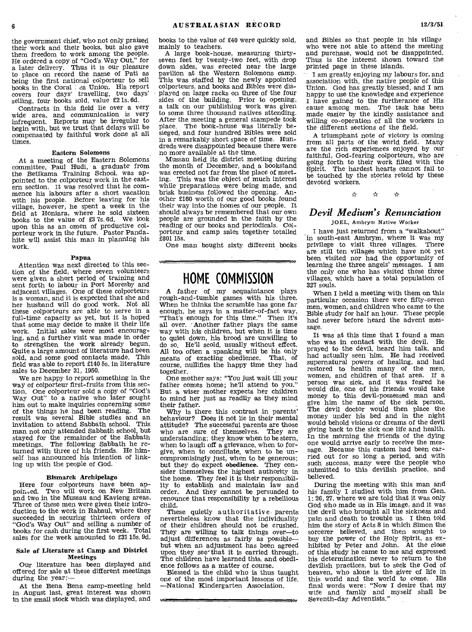the government chief, who not only praised their work and their books, but also gave them freedom to work among the people. He ordered a copy of "God's Way Out," for a later delivery. Thus it is our pleasure to place on record the name of Pati as being the first national colporteur to sell books in the Coral : ea Union. His report covers four days' travelling, two days' selling, four books sold, value £2 **is.** 6d.

Contracts in this field lie over a very wide area, and communication is very infrequent. Reports may be irregular to begin with, but we trust that delays will be compensated by faithful work done at all times.

### **Eastern Solomons**

**At** a meeting of the Eastern Solomons committee, Paul Hudi, a graduate from the Betikama Training School, was ap-pointed to the colporteur work in the eastern section. It was resolved that he commence his labours after a short vacation with his people. Before leaving for his village, however, he spent a week in the field at Honiara, where he sold sixteen books to the value of £3 7s. 6d. We look upon this as an omen of productive colporteur work in the future. Pastor Pandahite will assist this man in planning his work.

#### **Papua**

Attention was next directed to this section of the field, where seven volunteers were given a short period of training and sent forth to labour in Port Moresby and adjacent villages. One of these colporteurs is a woman, and it is expected that she and her husband will do good work. Not all these colporteurs are able to serve in a full-time capacity as yet, but it is hoped that some may decide to make it their life work. Initial sales were most encouraging, and a further visit was made in order to strengthen the work already begun. Quite a large amount of literature had been sold, and some good contacts made. This field was able to report **£140** 5s. in literature sales to December 31, 1950.

We are happy to report something in the way of colporteur first-fruits from this section. One colporteur sold a copy of "God's Way Out" to a native who later sought him out to make inquiries concerning some of the things he had been reading. The result was several Bible studies and an invitation to attend Sabbath school. This man not only attended Sabbath school, but stayed for the remainder of the Sabbath meetings. The following Sabbath he returned with three of his friends. He himself has announced his intention of linking up with the people of God.

#### **Bismarck Archipelago**

Here four colporteurs have been appoin.ed. Two will work on New Britain and two in the Mussau and Kavieng areas. Three of these men were given their introduction to the work in Rabaul, where they succeeded in securing thirteen orders of "God's Way Out" and selling a number of books for cash during the first week. Total sales for the week amounted to £31 15s. 9d.

#### **Sale of Literature at Camp and District Meetings**

Our literature has been displayed and offered for sale at these different meetings during the year:-

At the Bena Bena camp-meeting held in August last, great interest was shown in the small stock which was displayed, and books to the value of £40 were quickly sold, mainly to teachers.

A large book-house, measuring thirtyseven feet by twenty-two feet, with drop down sides, was erected near the large pavilion at the Western Solomons camp. This was staffed by the newly appointed colporteurs, and books and Bibles were displayed on large racks on three of the four sides of the building. Prior to opening, a talk on our publishing work was given to some three thousand natives attending. After the meeting a general stampede took place. The book-house was literally besieged, and four hundred Bibles were sold in a remarkably short space of time. Hundreds were disappointed because there were no more available at the time.

Mussau held its district meeting during the month of December, and a bookstand was erected not far from the place of meeting. This was the object of much interest while preparations were being made, and brisk business followed the opening. Another £160 worth of our good books found their way into the homes of our people. It should always be remembered that our own people are grounded in the faith by the reading of our books and periodicals. Colporteur and camp sales together totalled £801 15s.

One man bought sixty different books

## **HOME COMMISSION**

A father of my acquaintance plays rough-and-tumble games with his three. When he thinks the scramble has gone far enough, he says in a matter-of-fact way, "That's enough for this time." Then it's all over. Another father plays the same way with his children, but when it is time to quiet down, his brood are unwilling to do so. He'll scold, usually without effect. All too. often a spanking will be his only means of exacting obedience. That, of course, nullifies the happy time they had together.

One mother says: "You just wait till your father comes home; he'll attend to you.' But a, wiser mother expects her children to mind her just as readily as they mind their father.

Why is there this contrast in parents' behaviour? Does it not lie in their mental attitude? The successful parents are those who are sure of themselves. They are understanding; they know when to be stern, when to laugh off a grievance, when to forgive, when to conciliate, when to be uncompromisingly just, when to be generous; but they do expect **obedience.** They consider themselves the highest authority in the home. They feel it is their responsibility to establish and maintain law and order. And they cannot be persuaded to renounce that responsibility by a rebellious child.

These quietly authoritative parents nevertheless know that the individuality of their children should not be crushed. They are willing to talk things over—to adjust differences as fairly as possible but when an adjustment has been agreed upon they see` that it is carried through. The children have learned this, and obedience follows as a matter of course.

Blessed is the child who is thus taught one of the most important lessons of life. —National Kindergarten Association.

and Bibles so that people in his village who were not able to attend the meeting and purchase, would not be disappointed. Thus is the interest shown toward the printed page in these islands.

I am greatly enjoying my labours for, and association with, the native people of this Union. God has greatly blessed, and **I** am happy to use the knowledge and experience I have gained to the furtherance of His cause among men. The task has been made easier by the kindly assistance and willing co-operation of all the workers in the different sections of the field.

A triumphant note of victory is coming from all parts of the world field. Many are the rich experiences enjoyed by our faithful, God-fearing colporteurs, who are going forth to their work filled with the Spirit. The hardest hearts cannot fail to be touched by the stories retold by these devoted workers.

☆

### *Devil Medium's Renunciation*

JOEL, Ambrym Native Worker

I have just returned from a "walkabout" in south-east Ambrym, where it was my privilege to visit three villages. are still ten villages which have not yet been visited nor had the opportunity of learning the three angels' messages. **I** am the only one who has visited these three villages, which have a total population of 32'7 souls.

When I held a meeting with them on this particular occasion there were fifty-seven men, women, and children who came to the Bible study for half an hour. These people had never before heard the advent message.

It was at this time that I found a man who was in contact with the devil. He prayed to the devil, heard him talk, and had actually seen him. He had received supernatural powers of healing, and had restored to health many of the men,<br>women, and children of that area. If a women, and children of that area. person was sick, and it was feared he would die, one of his friends would take money to this devil-possessed man and give him the name of the sick person. The devil doctor would then place the money under his bed and in the night would behold visions or dreams of the devil giving back to the sick one life and health. In the morning the friends of the dying one would arrive early to receive the message. Because this custom had been carried out for so long a period, and with such success, many were the people who submitted to this devilish practice, and believed.

During the meeting with this man and his family **I** studied with him from Gen. 1: 26, 27, where we are told that it was only God Who made us in His image, and it was the devil who brought all the sickness and pain and death to trouble us. I then told him the story of Acts 8 in which Simon the sorcerer believed, and then sought to buy the power of the Holy Spirit, as exhibited by Peter and John. At the close of this study he came to me and expressed his determination never to return to the devilish practices, but to seek the God of heaven, who alone is the giver of life in this world and the world to come. His final words were: "Now **I** desire that my wife and family and myself shall be Seventh-day Adventists."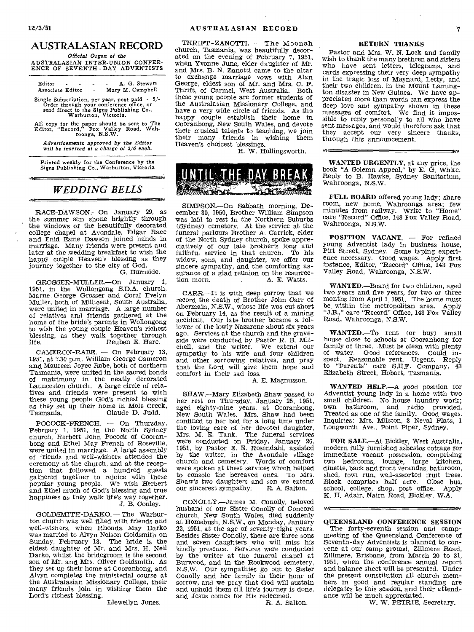$\mathsf{train}$ 

### AUSTRALASIAN RECORD

*Official Organ of the*  AUSTRALASIAN INTER-UNION CONFER-ENCE OF SEVENTH - DAY ADVENTISTS

Editor - - - - A. G. Stewart<br>Associate Editor - Mary M. Campbell Mary M. Campbell

Single Subscription, per year, post paid - *5/- Order* through your conference office, or send direct to the *Signs Publishing* Co., Warburton, Victoria.

All copy for the paper should be sent to The Editor, "Record," Fox Valley Road, Wah-roonga, N.S.W.

*Advertisements approved by the Editor will be inserted at a charge of 2/6 each.* 

Printed weekly for the Conference by the Signs Publishing Co., Warburton, Victoria

## *WEDDING BELLS*

RACE-DAWSON.—On January 29, as the summer sun shone brightly through the windows of the beautifully decorated college chapel at Avondale, Edgar Race and Enid Esme Dawson joined hands in marriage. Many friends were present and later at the wedding breakfast to wish the happy couple Heaven's blessing as they journey together to the city of God.

G. Burnside.

Isv

GROSSER-MULLER.—On January 1, 1951, in the Wollongong S.D.A. church, Marne. George Grosser and Coral Evelyn Muller, both of Millicent, South Australia, were united in marriage. A large number of relatives and friends gathered at the home of the bride's parents in Wollongong to wish the young couple Heaven's richest blessing, as they walk together through<br>life. Reuben E. Hare. Reuben E. Hare.

CAMERON-RABE. — On February 13, 1951, at 7.30 p.m. William George Cameron and Maureen Joyce Rabe, both of northern Tasmania, were united in the sacred bonds of matrimony in the neatly decorated Launceston church. A large circle of relatives and friends were present to wish these young people God's richest blessing as they set up their home in Mole Creek,<br>Tasmania. Claude D. Judd. Claude D. Judd.

POCOCK-FRENCH. — On Thursday, February 1, 1951, in the North Sydney church, Herbert John Pocock of Cooranbong and Ethel May French of Roseville, were united in marriage. A large assembly of friends and well-wishers attended the ceremony at the church, and at the reception that followed a hundred guests gathered together to rejoice with these popular young people. We wish Herbert and Ethel much of God's blessing and true happiness as they walk life's way together.

J. B. Conley.

GOLDSMITH-DARKO. — The Warburton church was well filled with friends and well-wishers, when Rhonda May Darko was married to Alvyn Nelson Goldsmith on Sunday, February 18. The bride is the eldest daughter of Mr. and Mrs. H. Neil Darko, whilst the bridegroom is the second son of Mr. and Mrs. Oliver Goldsmith. As they set up their home at Cooranbong, and Alvyn completes the ministerial course at the Australasian Missionary College, their many friends join in wishing them the Lord's richest blessing.

Llewellyn Jones.

THRIFT-ZANOTTI. - The Moonah church, Tasmania, was beautifully decorated on the evening of February 7, 1951, when Yvonne June, elder daughter of Mr. and Mrs. B. N. Zanotti came to the altar to exchange marriage vows with Alan George, eldest son of Mr. and Mrs. C. F. Thrift, of Carmel, West Australia. Both these young people are former students of the Australasian Missionary College, and have a very wide circle of friends. As the happy couple establish their home in Cooranbong, New South Wales, and devote their musical talents to teaching, we join their many friends in wishing them Heaven's choicest blessings.

H. W. Hollingsworth.



SIMPSON.—On Sabbath morning, December 30, 1950, Brother William Simpson was laid to rest in the Northern Suburbs (Sydney) cemetery. At the service at the funeral parlours Brother A. Carrick, elder of the North Sydney church, spoke appreciatively of our late brother's long and faithful service in that church. To his widow, sons, and daughter, we offer our sincere sympathy, and the comforting assurance of a glad reunion on the resurrec-<br>tion morn. A. E. Watts. A. E. Watts.

CARR.—It is with deep sorrow that we record the death of Brother John Carr of Abermain, N.S.W., whose life was cut short on February 14, as the result of a mining accident. Our late brother became a follower of the lowly Nazarene about six years ago. Services at the church and the graveside were conducted by Pastor R. B. Mitchell, and the writer. We extend our sympathy to his wife and four children and other sorrowing relatives, and pray that the Lord will give them hope and comfort in their sad loss.

A. E. Magnusson.

SHAW.—Mary Elizabeth Shaw passed to her rest on Thursday, January 25, 1951, aged eighty-nine years, at Cooranbong, New South Wales. Mrs. Shaw had been confined to her bed for a long time under the loving care of her devoted daughter, Mrs. *M.* E. Tank. The funeral services were conducted on Friday, January 26, 1951, by Pastor E. E. Rosendahl, assisted by the writer, in the Avondale village church and cemetery. Words of comfort were spoken at these services which helped to console the bereaved ones. To Mrs.  $\frac{1}{100}$ Shaw's two daughters and son we extend<br>our sincerest sympathy. R. A. Salton. our sincerest sympathy.

CONOLLY.—James M. Conolly, beloved husband of our Sister Conolly of Concord church, New South Wales, died suddenly at Homebush, N.S.W., on Monday, January 22, 1951, at the age of seventy-eight years. Besides Sister Conolly, there are three sons and seven daughters who will miss his kindly presence. Services were conducted by the writer at the funeral chapel at Burwood, and in the Rookwood cemetery, N.S.W. Our sympathies go out to Sister Conolly and her family in their hour of sorrow, and we pray that God will sustain and uphold them till life's journey is done, and Jesus comes for His redeemed.

R. A. Salton.

#### RETURN THANKS

Pastor and Mrs. W. N. Lock and family wish to thank the many brethren and sisters who have sent letters, telegrams, and cards expressing their very deep sympathy in the tragic loss of Maynard, Letty, and their two children, in the Mount Lamington disaster in New Guinea. We have appreciated more than words can express the deep love and sympathy shown in these messages of comfort. We find it impossible to reply personally to all who have sent messages, and would therefore ask that they accept our very sincere thanks, through this announcement.

WANTED URGENTLY, at any price, the book "A Solemn Appeal," by E. G, White. Reply to B. Hawke, Sydney Sanitarium, Wahroonga, N.S.W.

FULL BOARD offered young lady; share room, new home, Wahroonga area; few minutes from railway. Write to "Home" care "Record" Office, 148 Fox Valley Road, Wahroonga, N.S.W.

POSITION VACANT. — For refined young Adventist lady in business house, Pitt Street, Sydney. Some typing experience necessary. Good wages. Apply first instance, Editor, "Record" Office, 148 Fox Valley Road, Wahroonga, N.S.W.

WANTED.—Board for two children, aged two years and five years, for two or three months from April 1, 1951. The home must be within the metropolitan area, Apply "J.B.," care "Record" Office, 148 Fox Valley Road, Wahroonga, N.S.W.

WANTED.—To rent (or buy) small house close to schools at Cooranbong for family of three. Must be clean with plenty of water. Good references. Could inspect. Reasonable rent. Urgent. Reply to "Parents" care S.H.F. Company, 43 Elizabeth Street, Hobart, Tasmania.

WANTED HELP.—A good position for Adventist young lady in a home with two small children. No house laundry work; own bathroom, and radio provided. Treated as one of the family. Good wages. Inquiries: Mrs. Milston, 3 Neval Flats, 1 Longworth Ave., Point Piper, Sydney.

FOR SALE.—At Bickley, West Australia, modern fully furnished asbestos cottage for immediate vacant possession, comprising two bedrooms, lounge, large kitchen, dinette, back and front verandas, bathroom, shed, fowl run, well-assorted fruit trees. Block comprises half acre. Close bus, school, college, shop, post office. Apply K. H. Adair, Nairn Road, Bickley, W.A.

t i*sv*  QUEENSLAND CONFERENCE SESSION

The forty-seventh session and campmeeting of the Queensland Conference of Seventh-day Adventists is planned to convene at our camp ground, Zillmere Road, Zillmere, Brisbane, from March 20 to 31, 1951, when the conference annual report and balance sheet will be presented. Under the present constitution all church members in good and regular standing are delegates to this *session,* and their attendance will be much appreciated.

W. W. PETRIE, Secretary.

6-V